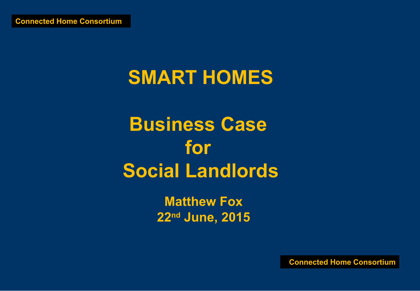# **SMART HOMES**

**Business Case for Social Landlords**

> **Matthew Fox 22nd June, 2015**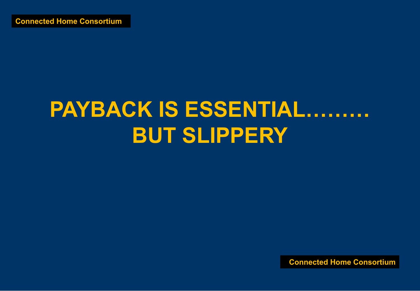# **PAYBACK IS ESSENTIAL...... BUT SLIPPERY**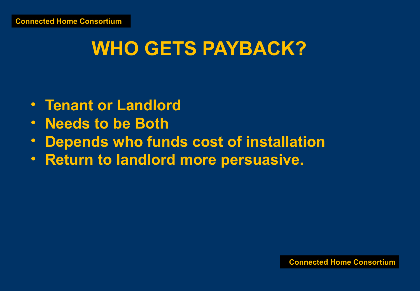## **WHO GETS PAYBACK?**

- **Tenant or Landlord**
- **Needs to be Both**
- **Depends who funds cost of installation**
- **Return to landlord more persuasive.**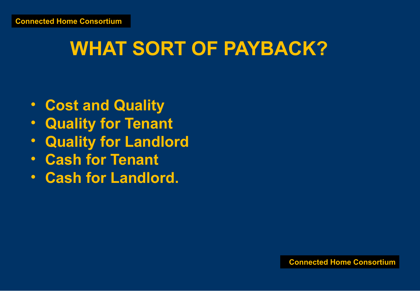#### **WHAT SORT OF PAYBACK?**

- **Cost and Quality**
- **Quality for Tenant**
- **Quality for Landlord**
- **Cash for Tenant**
- **Cash for Landlord.**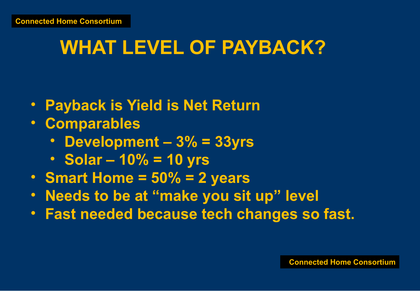#### **WHAT LEVEL OF PAYBACK?**

- **Payback is Yield is Net Return**
- **Comparables**
	- **Development 3% = 33yrs**
	- **Solar 10% = 10 yrs**
- **Smart Home = 50% = 2 years**
- **Needs to be at "make you sit up" level**
- **Fast needed because tech changes so fast.**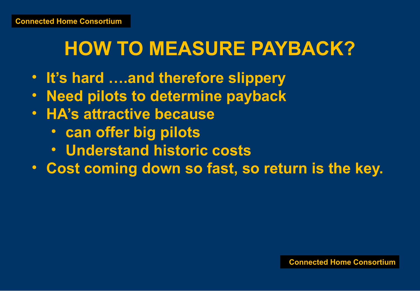# **HOW TO MEASURE PAYBACK?**

- **It's hard ….and therefore slippery**
- **Need pilots to determine payback**
- **HA's attractive because** 
	- **can offer big pilots**
	- **Understand historic costs**
- **Cost coming down so fast, so return is the key.**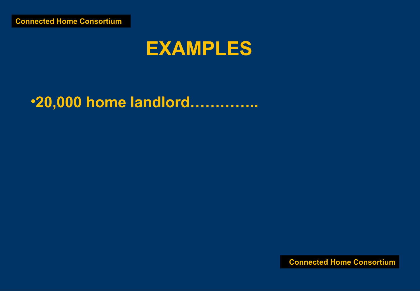#### **EXAMPLES**

#### **.20,000 home landlord.............**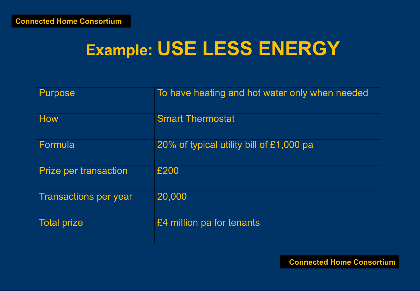#### **Example: USE LESS ENERGY**

| <b>Purpose</b>               | To have heating and hot water only when needed |
|------------------------------|------------------------------------------------|
| <b>How</b>                   | <b>Smart Thermostat</b>                        |
| Formula                      | 20% of typical utility bill of £1,000 pa       |
| <b>Prize per transaction</b> | £200                                           |
| <b>Transactions per year</b> | 20,000                                         |
| <b>Total prize</b>           | £4 million pa for tenants                      |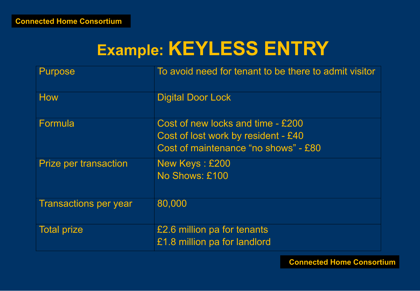#### **Example: KEYLESS ENTRY**

| <b>Purpose</b>               | To avoid need for tenant to be there to admit visitor                                                            |
|------------------------------|------------------------------------------------------------------------------------------------------------------|
| <b>How</b>                   | <b>Digital Door Lock</b>                                                                                         |
| Formula                      | Cost of new locks and time - £200<br>Cost of lost work by resident - £40<br>Cost of maintenance "no shows" - £80 |
| <b>Prize per transaction</b> | New Keys: £200<br>No Shows: £100                                                                                 |
| <b>Transactions per year</b> | 80,000                                                                                                           |
| <b>Total prize</b>           | £2.6 million pa for tenants<br>£1.8 million pa for landlord                                                      |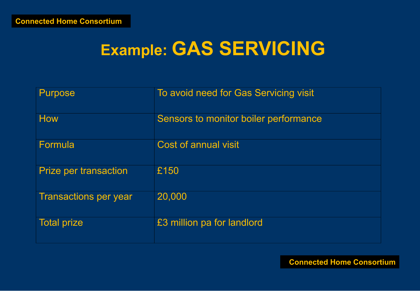#### **Example: GAS SERVICING**

| <b>Purpose</b>               | To avoid need for Gas Servicing visit |
|------------------------------|---------------------------------------|
| <b>How</b>                   | Sensors to monitor boiler performance |
| Formula                      | <b>Cost of annual visit</b>           |
| <b>Prize per transaction</b> | £150                                  |
| <b>Transactions per year</b> | 20,000                                |
| <b>Total prize</b>           | £3 million pa for landlord            |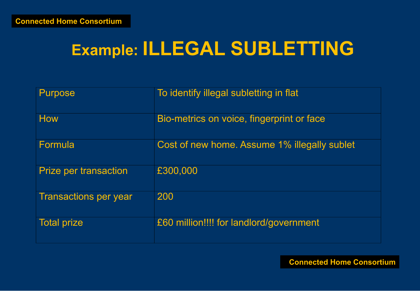# **Example: ILLEGAL SUBLETTING**

| <b>Purpose</b>               | To identify illegal subletting in flat       |
|------------------------------|----------------------------------------------|
| <b>How</b>                   | Bio-metrics on voice, fingerprint or face    |
| Formula                      | Cost of new home. Assume 1% illegally sublet |
| <b>Prize per transaction</b> | £300,000                                     |
| <b>Transactions per year</b> | 200                                          |
| <b>Total prize</b>           | £60 million!!!! for landlord/government      |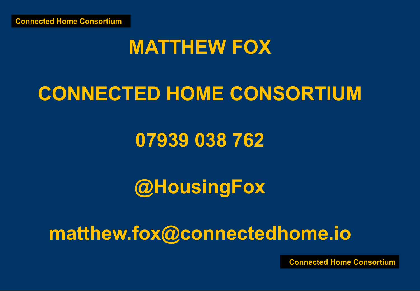#### **MATTHEW FOX**

## **CONNECTED HOME CONSORTIUM**

#### **07939 038 762**

#### **@HousingFox**

#### **matthew.fox@connectedhome.io**